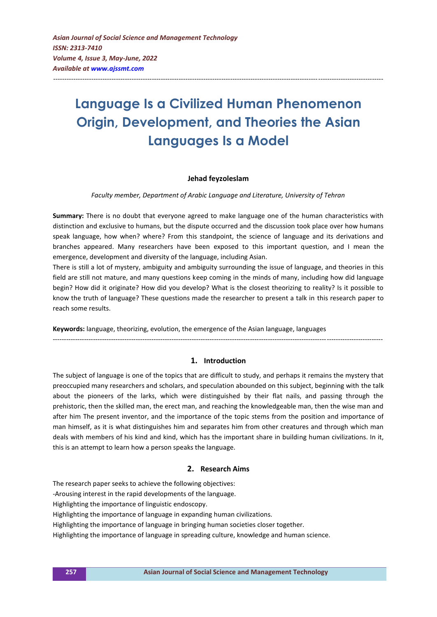# **Language Is a Civilized Human Phenomenon Origin, Development, and Theories the Asian Languages Is a Model**

---------------------------------------------------------------------------------------------------------------------------------------------------

## **Jehad feyzoleslam**

#### *Faculty member, Department of Arabic Language and Literature, University of Tehran*

**Summary:** There is no doubt that everyone agreed to make language one of the human characteristics with distinction and exclusive to humans, but the dispute occurred and the discussion took place over how humans speak language, how when? where? From this standpoint, the science of language and its derivations and branches appeared. Many researchers have been exposed to this important question, and I mean the emergence, development and diversity of the language, including Asian.

There is still a lot of mystery, ambiguity and ambiguity surrounding the issue of language, and theories in this field are still not mature, and many questions keep coming in the minds of many, including how did language begin? How did it originate? How did you develop? What is the closest theorizing to reality? Is it possible to know the truth of language? These questions made the researcher to present a talk in this research paper to reach some results.

**Keywords:** language, theorizing, evolution, the emergence of the Asian language, languages

# ---------------------------------------------------------------------------------------------------------------------------------------------------

## **1. Introduction**

The subject of language is one of the topics that are difficult to study, and perhaps it remains the mystery that preoccupied many researchers and scholars, and speculation abounded on this subject, beginning with the talk about the pioneers of the larks, which were distinguished by their flat nails, and passing through the prehistoric, then the skilled man, the erect man, and reaching the knowledgeable man, then the wise man and after him The present inventor, and the importance of the topic stems from the position and importance of man himself, as it is what distinguishes him and separates him from other creatures and through which man deals with members of his kind and kind, which has the important share in building human civilizations. In it, this is an attempt to learn how a person speaks the language.

## **2. Research Aims**

The research paper seeks to achieve the following objectives:

-Arousing interest in the rapid developments of the language.

Highlighting the importance of linguistic endoscopy.

Highlighting the importance of language in expanding human civilizations.

Highlighting the importance of language in bringing human societies closer together.

Highlighting the importance of language in spreading culture, knowledge and human science.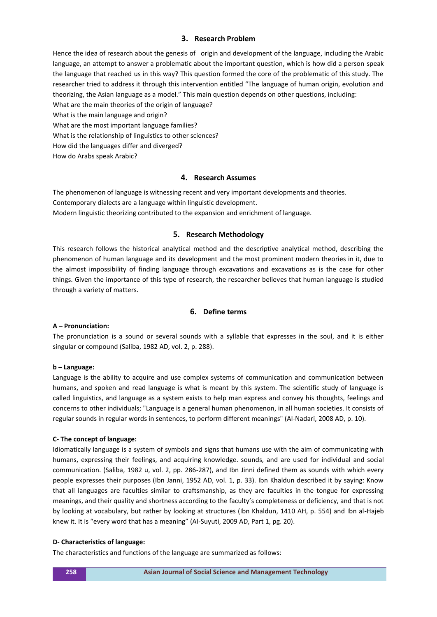## **3. Research Problem**

Hence the idea of research about the genesis of origin and development of the language, including the Arabic language, an attempt to answer a problematic about the important question, which is how did a person speak the language that reached us in this way? This question formed the core of the problematic of this study. The researcher tried to address it through this intervention entitled "The language of human origin, evolution and theorizing, the Asian language as a model." This main question depends on other questions, including:

What are the main theories of the origin of language?

What is the main language and origin?

What are the most important language families?

What is the relationship of linguistics to other sciences?

How did the languages differ and diverged?

How do Arabs speak Arabic?

## **4. Research Assumes**

The phenomenon of language is witnessing recent and very important developments and theories. Contemporary dialects are a language within linguistic development. Modern linguistic theorizing contributed to the expansion and enrichment of language.

# **5. Research Methodology**

This research follows the historical analytical method and the descriptive analytical method, describing the phenomenon of human language and its development and the most prominent modern theories in it, due to the almost impossibility of finding language through excavations and excavations as is the case for other things. Given the importance of this type of research, the researcher believes that human language is studied through a variety of matters.

# **6. Define terms**

## **A – Pronunciation:**

The pronunciation is a sound or several sounds with a syllable that expresses in the soul, and it is either singular or compound (Saliba, 1982 AD, vol. 2, p. 288).

## **b – Language:**

Language is the ability to acquire and use complex systems of communication and communication between humans, and spoken and read language is what is meant by this system. The scientific study of language is called linguistics, and language as a system exists to help man express and convey his thoughts, feelings and concerns to other individuals; "Language is a general human phenomenon, in all human societies. It consists of regular sounds in regular words in sentences, to perform different meanings" (Al-Nadari, 2008 AD, p. 10).

## **C- The concept of language:**

Idiomatically language is a system of symbols and signs that humans use with the aim of communicating with humans, expressing their feelings, and acquiring knowledge. sounds, and are used for individual and social communication. (Saliba, 1982 u, vol. 2, pp. 286-287), and Ibn Jinni defined them as sounds with which every people expresses their purposes (Ibn Janni, 1952 AD, vol. 1, p. 33). Ibn Khaldun described it by saying: Know that all languages are faculties similar to craftsmanship, as they are faculties in the tongue for expressing meanings, and their quality and shortness according to the faculty's completeness or deficiency, and that is not by looking at vocabulary, but rather by looking at structures (Ibn Khaldun, 1410 AH, p. 554) and Ibn al-Hajeb knew it. It is "every word that has a meaning" (Al-Suyuti, 2009 AD, Part 1, pg. 20).

## **D- Characteristics of language:**

The characteristics and functions of the language are summarized as follows: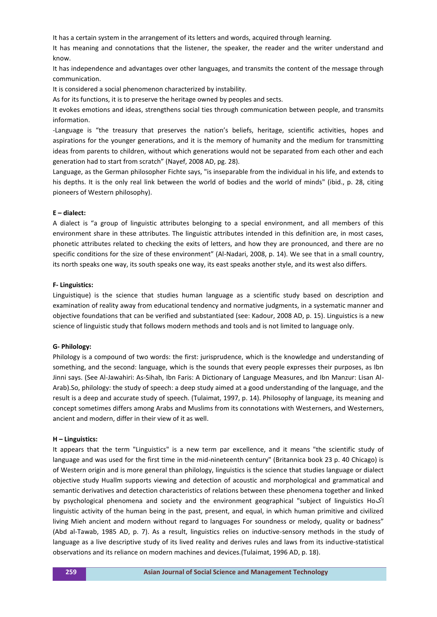It has a certain system in the arrangement of its letters and words, acquired through learning.

It has meaning and connotations that the listener, the speaker, the reader and the writer understand and know.

It has independence and advantages over other languages, and transmits the content of the message through communication.

It is considered a social phenomenon characterized by instability.

As for its functions, it is to preserve the heritage owned by peoples and sects.

It evokes emotions and ideas, strengthens social ties through communication between people, and transmits information.

-Language is "the treasury that preserves the nation's beliefs, heritage, scientific activities, hopes and aspirations for the younger generations, and it is the memory of humanity and the medium for transmitting ideas from parents to children, without which generations would not be separated from each other and each generation had to start from scratch" (Nayef, 2008 AD, pg. 28).

Language, as the German philosopher Fichte says, "is inseparable from the individual in his life, and extends to his depths. It is the only real link between the world of bodies and the world of minds" (ibid., p. 28, citing pioneers of Western philosophy).

#### **E – dialect:**

A dialect is "a group of linguistic attributes belonging to a special environment, and all members of this environment share in these attributes. The linguistic attributes intended in this definition are, in most cases, phonetic attributes related to checking the exits of letters, and how they are pronounced, and there are no specific conditions for the size of these environment" (Al-Nadari, 2008, p. 14). We see that in a small country, its north speaks one way, its south speaks one way, its east speaks another style, and its west also differs.

#### **F- Linguistics:**

Linguistique) is the science that studies human language as a scientific study based on description and examination of reality away from educational tendency and normative judgments, in a systematic manner and objective foundations that can be verified and substantiated (see: Kadour, 2008 AD, p. 15). Linguistics is a new science of linguistic study that follows modern methods and tools and is not limited to language only.

#### **G- Philology:**

Philology is a compound of two words: the first: jurisprudence, which is the knowledge and understanding of something, and the second: language, which is the sounds that every people expresses their purposes, as Ibn Jinni says. (See Al-Jawahiri: As-Sihah, Ibn Faris: A Dictionary of Language Measures, and Ibn Manzur: Lisan Al-Arab).So, philology: the study of speech: a deep study aimed at a good understanding of the language, and the result is a deep and accurate study of speech. (Tulaimat, 1997, p. 14). Philosophy of language, its meaning and concept sometimes differs among Arabs and Muslims from its connotations with Westerners, and Westerners, ancient and modern, differ in their view of it as well.

#### **H – Linguistics:**

It appears that the term "Linguistics" is a new term par excellence, and it means "the scientific study of language and was used for the first time in the mid-nineteenth century" (Britannica book 23 p. 40 Chicago) is of Western origin and is more general than philology, linguistics is the science that studies language or dialect objective study Huallm supports viewing and detection of acoustic and morphological and grammatical and semantic derivatives and detection characteristics of relations between these phenomena together and linked by psychological phenomena and society and the environment geographical "subject of linguistics Hoکl linguistic activity of the human being in the past, present, and equal, in which human primitive and civilized living Mieh ancient and modern without regard to languages For soundness or melody, quality or badness" (Abd al-Tawab, 1985 AD, p. 7). As a result, linguistics relies on inductive-sensory methods in the study of language as a live descriptive study of its lived reality and derives rules and laws from its inductive-statistical observations and its reliance on modern machines and devices.(Tulaimat, 1996 AD, p. 18).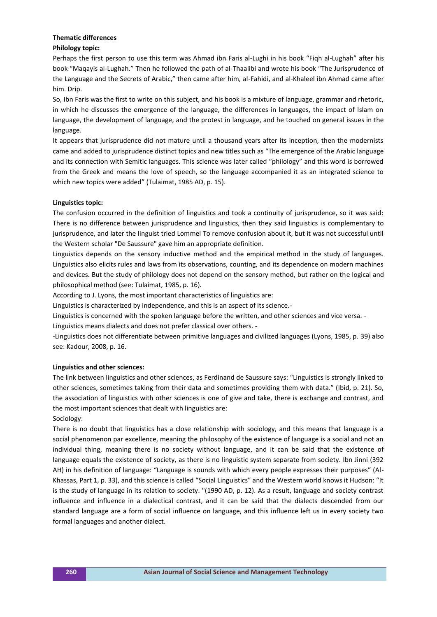## **Thematic differences**

## **Philology topic:**

Perhaps the first person to use this term was Ahmad ibn Faris al-Lughi in his book "Fiqh al-Lughah" after his book "Maqayis al-Lughah." Then he followed the path of al-Thaalibi and wrote his book "The Jurisprudence of the Language and the Secrets of Arabic," then came after him, al-Fahidi, and al-Khaleel ibn Ahmad came after him. Drip.

So, Ibn Faris was the first to write on this subject, and his book is a mixture of language, grammar and rhetoric, in which he discusses the emergence of the language, the differences in languages, the impact of Islam on language, the development of language, and the protest in language, and he touched on general issues in the language.

It appears that jurisprudence did not mature until a thousand years after its inception, then the modernists came and added to jurisprudence distinct topics and new titles such as "The emergence of the Arabic language and its connection with Semitic languages. This science was later called "philology" and this word is borrowed from the Greek and means the love of speech, so the language accompanied it as an integrated science to which new topics were added" (Tulaimat, 1985 AD, p. 15).

#### **Linguistics topic:**

The confusion occurred in the definition of linguistics and took a continuity of jurisprudence, so it was said: There is no difference between jurisprudence and linguistics, then they said linguistics is complementary to jurisprudence, and later the linguist tried Lommel To remove confusion about it, but it was not successful until the Western scholar "De Saussure" gave him an appropriate definition.

Linguistics depends on the sensory inductive method and the empirical method in the study of languages. Linguistics also elicits rules and laws from its observations, counting, and its dependence on modern machines and devices. But the study of philology does not depend on the sensory method, but rather on the logical and philosophical method (see: Tulaimat, 1985, p. 16).

According to J. Lyons, the most important characteristics of linguistics are:

Linguistics is characterized by independence, and this is an aspect of its science.-

Linguistics is concerned with the spoken language before the written, and other sciences and vice versa. -

Linguistics means dialects and does not prefer classical over others. -

-Linguistics does not differentiate between primitive languages and civilized languages (Lyons, 1985, p. 39) also see: Kadour, 2008, p. 16.

#### **Linguistics and other sciences:**

The link between linguistics and other sciences, as Ferdinand de Saussure says: "Linguistics is strongly linked to other sciences, sometimes taking from their data and sometimes providing them with data." (Ibid, p. 21). So, the association of linguistics with other sciences is one of give and take, there is exchange and contrast, and the most important sciences that dealt with linguistics are:

Sociology:

There is no doubt that linguistics has a close relationship with sociology, and this means that language is a social phenomenon par excellence, meaning the philosophy of the existence of language is a social and not an individual thing, meaning there is no society without language, and it can be said that the existence of language equals the existence of society, as there is no linguistic system separate from society. Ibn Jinni (392 AH) in his definition of language: "Language is sounds with which every people expresses their purposes" (Al-Khassas, Part 1, p. 33), and this science is called "Social Linguistics" and the Western world knows it Hudson: "It is the study of language in its relation to society. "(1990 AD, p. 12). As a result, language and society contrast influence and influence in a dialectical contrast, and it can be said that the dialects descended from our standard language are a form of social influence on language, and this influence left us in every society two formal languages and another dialect.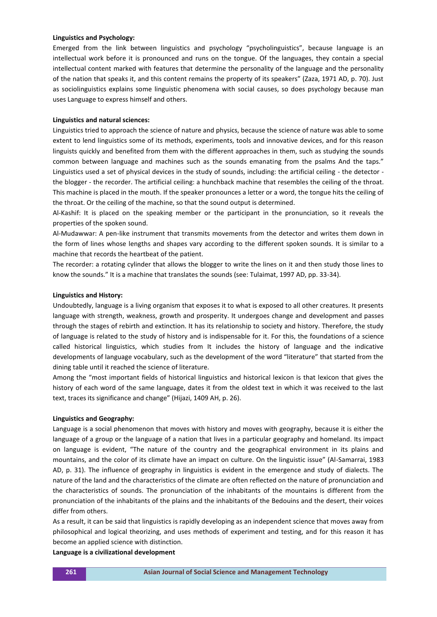#### **Linguistics and Psychology:**

Emerged from the link between linguistics and psychology "psycholinguistics", because language is an intellectual work before it is pronounced and runs on the tongue. Of the languages, they contain a special intellectual content marked with features that determine the personality of the language and the personality of the nation that speaks it, and this content remains the property of its speakers" (Zaza, 1971 AD, p. 70). Just as sociolinguistics explains some linguistic phenomena with social causes, so does psychology because man uses Language to express himself and others.

## **Linguistics and natural sciences:**

Linguistics tried to approach the science of nature and physics, because the science of nature was able to some extent to lend linguistics some of its methods, experiments, tools and innovative devices, and for this reason linguists quickly and benefited from them with the different approaches in them, such as studying the sounds common between language and machines such as the sounds emanating from the psalms And the taps." Linguistics used a set of physical devices in the study of sounds, including: the artificial ceiling - the detector the blogger - the recorder. The artificial ceiling: a hunchback machine that resembles the ceiling of the throat. This machine is placed in the mouth. If the speaker pronounces a letter or a word, the tongue hits the ceiling of the throat. Or the ceiling of the machine, so that the sound output is determined.

Al-Kashif: It is placed on the speaking member or the participant in the pronunciation, so it reveals the properties of the spoken sound.

Al-Mudawwar: A pen-like instrument that transmits movements from the detector and writes them down in the form of lines whose lengths and shapes vary according to the different spoken sounds. It is similar to a machine that records the heartbeat of the patient.

The recorder: a rotating cylinder that allows the blogger to write the lines on it and then study those lines to know the sounds." It is a machine that translates the sounds (see: Tulaimat, 1997 AD, pp. 33-34).

#### **Linguistics and History:**

Undoubtedly, language is a living organism that exposes it to what is exposed to all other creatures. It presents language with strength, weakness, growth and prosperity. It undergoes change and development and passes through the stages of rebirth and extinction. It has its relationship to society and history. Therefore, the study of language is related to the study of history and is indispensable for it. For this, the foundations of a science called historical linguistics, which studies from It includes the history of language and the indicative developments of language vocabulary, such as the development of the word "literature" that started from the dining table until it reached the science of literature.

Among the "most important fields of historical linguistics and historical lexicon is that lexicon that gives the history of each word of the same language, dates it from the oldest text in which it was received to the last text, traces its significance and change" (Hijazi, 1409 AH, p. 26).

#### **Linguistics and Geography:**

Language is a social phenomenon that moves with history and moves with geography, because it is either the language of a group or the language of a nation that lives in a particular geography and homeland. Its impact on language is evident, "The nature of the country and the geographical environment in its plains and mountains, and the color of its climate have an impact on culture. On the linguistic issue" (Al-Samarrai, 1983 AD, p. 31). The influence of geography in linguistics is evident in the emergence and study of dialects. The nature of the land and the characteristics of the climate are often reflected on the nature of pronunciation and the characteristics of sounds. The pronunciation of the inhabitants of the mountains is different from the pronunciation of the inhabitants of the plains and the inhabitants of the Bedouins and the desert, their voices differ from others.

As a result, it can be said that linguistics is rapidly developing as an independent science that moves away from philosophical and logical theorizing, and uses methods of experiment and testing, and for this reason it has become an applied science with distinction.

## **Language is a civilizational development**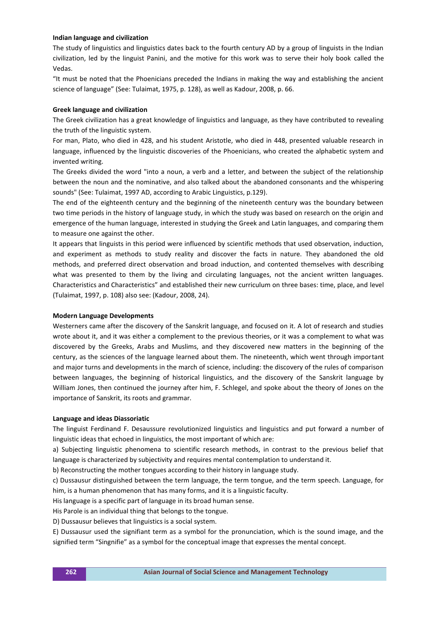## **Indian language and civilization**

The study of linguistics and linguistics dates back to the fourth century AD by a group of linguists in the Indian civilization, led by the linguist Panini, and the motive for this work was to serve their holy book called the Vedas.

"It must be noted that the Phoenicians preceded the Indians in making the way and establishing the ancient science of language" (See: Tulaimat, 1975, p. 128), as well as Kadour, 2008, p. 66.

#### **Greek language and civilization**

The Greek civilization has a great knowledge of linguistics and language, as they have contributed to revealing the truth of the linguistic system.

For man, Plato, who died in 428, and his student Aristotle, who died in 448, presented valuable research in language, influenced by the linguistic discoveries of the Phoenicians, who created the alphabetic system and invented writing.

The Greeks divided the word "into a noun, a verb and a letter, and between the subject of the relationship between the noun and the nominative, and also talked about the abandoned consonants and the whispering sounds" (See: Tulaimat, 1997 AD, according to Arabic Linguistics, p.129).

The end of the eighteenth century and the beginning of the nineteenth century was the boundary between two time periods in the history of language study, in which the study was based on research on the origin and emergence of the human language, interested in studying the Greek and Latin languages, and comparing them to measure one against the other.

It appears that linguists in this period were influenced by scientific methods that used observation, induction, and experiment as methods to study reality and discover the facts in nature. They abandoned the old methods, and preferred direct observation and broad induction, and contented themselves with describing what was presented to them by the living and circulating languages, not the ancient written languages. Characteristics and Characteristics" and established their new curriculum on three bases: time, place, and level (Tulaimat, 1997, p. 108) also see: (Kadour, 2008, 24).

#### **Modern Language Developments**

Westerners came after the discovery of the Sanskrit language, and focused on it. A lot of research and studies wrote about it, and it was either a complement to the previous theories, or it was a complement to what was discovered by the Greeks, Arabs and Muslims, and they discovered new matters in the beginning of the century, as the sciences of the language learned about them. The nineteenth, which went through important and major turns and developments in the march of science, including: the discovery of the rules of comparison between languages, the beginning of historical linguistics, and the discovery of the Sanskrit language by William Jones, then continued the journey after him, F. Schlegel, and spoke about the theory of Jones on the importance of Sanskrit, its roots and grammar.

#### **Language and ideas Diassoriatic**

The linguist Ferdinand F. Desaussure revolutionized linguistics and linguistics and put forward a number of linguistic ideas that echoed in linguistics, the most important of which are:

a) Subjecting linguistic phenomena to scientific research methods, in contrast to the previous belief that language is characterized by subjectivity and requires mental contemplation to understand it.

b) Reconstructing the mother tongues according to their history in language study.

c) Dussausur distinguished between the term language, the term tongue, and the term speech. Language, for him, is a human phenomenon that has many forms, and it is a linguistic faculty.

His language is a specific part of language in its broad human sense.

His Parole is an individual thing that belongs to the tongue.

D) Dussausur believes that linguistics is a social system.

E) Dussausur used the signifiant term as a symbol for the pronunciation, which is the sound image, and the signified term "Singnifie" as a symbol for the conceptual image that expresses the mental concept.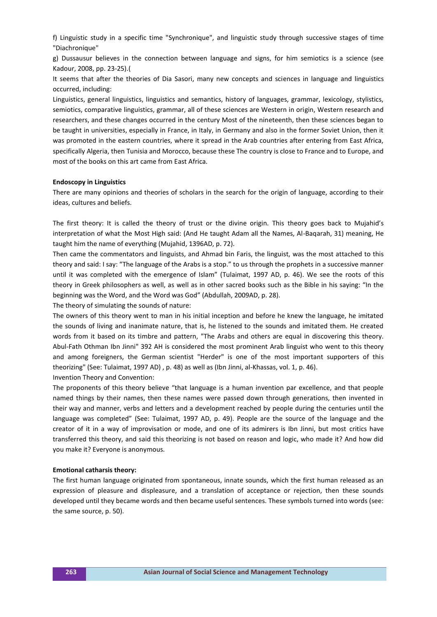f) Linguistic study in a specific time "Synchronique", and linguistic study through successive stages of time "Diachronique"

g) Dussausur believes in the connection between language and signs, for him semiotics is a science (see Kadour, 2008, pp. 23-25).(

It seems that after the theories of Dia Sasori, many new concepts and sciences in language and linguistics occurred, including:

Linguistics, general linguistics, linguistics and semantics, history of languages, grammar, lexicology, stylistics, semiotics, comparative linguistics, grammar, all of these sciences are Western in origin, Western research and researchers, and these changes occurred in the century Most of the nineteenth, then these sciences began to be taught in universities, especially in France, in Italy, in Germany and also in the former Soviet Union, then it was promoted in the eastern countries, where it spread in the Arab countries after entering from East Africa, specifically Algeria, then Tunisia and Morocco, because these The country is close to France and to Europe, and most of the books on this art came from East Africa.

#### **Endoscopy in Linguistics**

There are many opinions and theories of scholars in the search for the origin of language, according to their ideas, cultures and beliefs.

The first theory: It is called the theory of trust or the divine origin. This theory goes back to Mujahid's interpretation of what the Most High said: (And He taught Adam all the Names, Al-Baqarah, 31) meaning, He taught him the name of everything (Mujahid, 1396AD, p. 72).

Then came the commentators and linguists, and Ahmad bin Faris, the linguist, was the most attached to this theory and said: I say: "The language of the Arabs is a stop." to us through the prophets in a successive manner until it was completed with the emergence of Islam" (Tulaimat, 1997 AD, p. 46). We see the roots of this theory in Greek philosophers as well, as well as in other sacred books such as the Bible in his saying: "In the beginning was the Word, and the Word was God" (Abdullah, 2009AD, p. 28).

The theory of simulating the sounds of nature:

The owners of this theory went to man in his initial inception and before he knew the language, he imitated the sounds of living and inanimate nature, that is, he listened to the sounds and imitated them. He created words from it based on its timbre and pattern, "The Arabs and others are equal in discovering this theory. Abul-Fath Othman Ibn Jinni" 392 AH is considered the most prominent Arab linguist who went to this theory and among foreigners, the German scientist "Herder" is one of the most important supporters of this theorizing" (See: Tulaimat, 1997 AD) , p. 48) as well as (Ibn Jinni, al-Khassas, vol. 1, p. 46). Invention Theory and Convention:

The proponents of this theory believe "that language is a human invention par excellence, and that people named things by their names, then these names were passed down through generations, then invented in their way and manner, verbs and letters and a development reached by people during the centuries until the language was completed" (See: Tulaimat, 1997 AD, p. 49). People are the source of the language and the creator of it in a way of improvisation or mode, and one of its admirers is Ibn Jinni, but most critics have transferred this theory, and said this theorizing is not based on reason and logic, who made it? And how did you make it? Everyone is anonymous.

#### **Emotional catharsis theory:**

The first human language originated from spontaneous, innate sounds, which the first human released as an expression of pleasure and displeasure, and a translation of acceptance or rejection, then these sounds developed until they became words and then became useful sentences. These symbols turned into words (see: the same source, p. 50).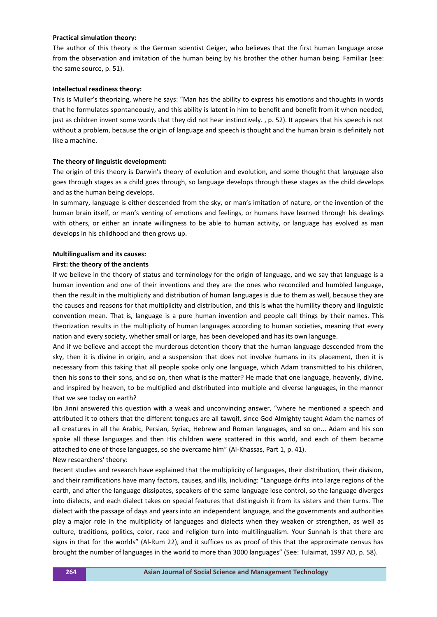#### **Practical simulation theory:**

The author of this theory is the German scientist Geiger, who believes that the first human language arose from the observation and imitation of the human being by his brother the other human being. Familiar (see: the same source, p. 51).

#### **Intellectual readiness theory:**

This is Muller's theorizing, where he says: "Man has the ability to express his emotions and thoughts in words that he formulates spontaneously, and this ability is latent in him to benefit and benefit from it when needed, just as children invent some words that they did not hear instinctively., p. 52). It appears that his speech is not without a problem, because the origin of language and speech is thought and the human brain is definitely not like a machine.

#### **The theory of linguistic development:**

The origin of this theory is Darwin's theory of evolution and evolution, and some thought that language also goes through stages as a child goes through, so language develops through these stages as the child develops and as the human being develops.

In summary, language is either descended from the sky, or man's imitation of nature, or the invention of the human brain itself, or man's venting of emotions and feelings, or humans have learned through his dealings with others, or either an innate willingness to be able to human activity, or language has evolved as man develops in his childhood and then grows up.

#### **Multilingualism and its causes:**

#### **First: the theory of the ancients**

If we believe in the theory of status and terminology for the origin of language, and we say that language is a human invention and one of their inventions and they are the ones who reconciled and humbled language, then the result in the multiplicity and distribution of human languages is due to them as well, because they are the causes and reasons for that multiplicity and distribution, and this is what the humility theory and linguistic convention mean. That is, language is a pure human invention and people call things by their names. This theorization results in the multiplicity of human languages according to human societies, meaning that every nation and every society, whether small or large, has been developed and has its own language.

And if we believe and accept the murderous detention theory that the human language descended from the sky, then it is divine in origin, and a suspension that does not involve humans in its placement, then it is necessary from this taking that all people spoke only one language, which Adam transmitted to his children, then his sons to their sons, and so on, then what is the matter? He made that one language, heavenly, divine, and inspired by heaven, to be multiplied and distributed into multiple and diverse languages, in the manner that we see today on earth?

Ibn Jinni answered this question with a weak and unconvincing answer, "where he mentioned a speech and attributed it to others that the different tongues are all tawqif, since God Almighty taught Adam the names of all creatures in all the Arabic, Persian, Syriac, Hebrew and Roman languages, and so on... Adam and his son spoke all these languages and then His children were scattered in this world, and each of them became attached to one of those languages, so she overcame him" (Al-Khassas, Part 1, p. 41). New researchers' theory:

Recent studies and research have explained that the multiplicity of languages, their distribution, their division, and their ramifications have many factors, causes, and ills, including: "Language drifts into large regions of the earth, and after the language dissipates, speakers of the same language lose control, so the language diverges into dialects, and each dialect takes on special features that distinguish it from its sisters and then turns. The dialect with the passage of days and years into an independent language, and the governments and authorities play a major role in the multiplicity of languages and dialects when they weaken or strengthen, as well as culture, traditions, politics, color, race and religion turn into multilingualism. Your Sunnah is that there are signs in that for the worlds" (Al-Rum 22), and it suffices us as proof of this that the approximate census has brought the number of languages in the world to more than 3000 languages" (See: Tulaimat, 1997 AD, p. 58).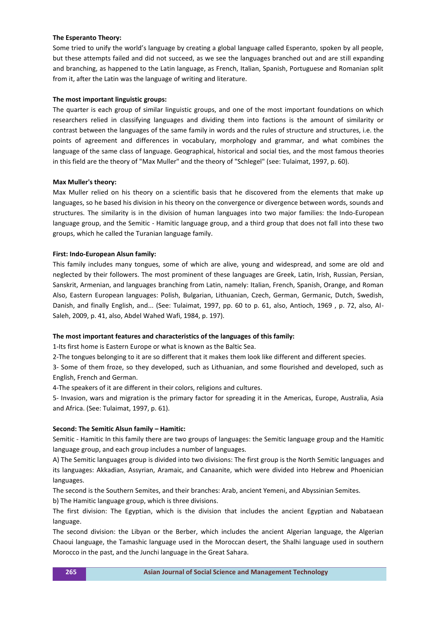## **The Esperanto Theory:**

Some tried to unify the world's language by creating a global language called Esperanto, spoken by all people, but these attempts failed and did not succeed, as we see the languages branched out and are still expanding and branching, as happened to the Latin language, as French, Italian, Spanish, Portuguese and Romanian split from it, after the Latin was the language of writing and literature.

## **The most important linguistic groups:**

The quarter is each group of similar linguistic groups, and one of the most important foundations on which researchers relied in classifying languages and dividing them into factions is the amount of similarity or contrast between the languages of the same family in words and the rules of structure and structures, i.e. the points of agreement and differences in vocabulary, morphology and grammar, and what combines the language of the same class of language. Geographical, historical and social ties, and the most famous theories in this field are the theory of "Max Muller" and the theory of "Schlegel" (see: Tulaimat, 1997, p. 60).

## **Max Muller's theory:**

Max Muller relied on his theory on a scientific basis that he discovered from the elements that make up languages, so he based his division in his theory on the convergence or divergence between words, sounds and structures. The similarity is in the division of human languages into two major families: the Indo-European language group, and the Semitic - Hamitic language group, and a third group that does not fall into these two groups, which he called the Turanian language family.

## **First: Indo-European Alsun family:**

This family includes many tongues, some of which are alive, young and widespread, and some are old and neglected by their followers. The most prominent of these languages are Greek, Latin, Irish, Russian, Persian, Sanskrit, Armenian, and languages branching from Latin, namely: Italian, French, Spanish, Orange, and Roman Also, Eastern European languages: Polish, Bulgarian, Lithuanian, Czech, German, Germanic, Dutch, Swedish, Danish, and finally English, and... (See: Tulaimat, 1997, pp. 60 to p. 61, also, Antioch, 1969 , p. 72, also, Al-Saleh, 2009, p. 41, also, Abdel Wahed Wafi, 1984, p. 197).

#### **The most important features and characteristics of the languages of this family:**

1-Its first home is Eastern Europe or what is known as the Baltic Sea.

2-The tongues belonging to it are so different that it makes them look like different and different species.

3- Some of them froze, so they developed, such as Lithuanian, and some flourished and developed, such as English, French and German.

4-The speakers of it are different in their colors, religions and cultures.

5- Invasion, wars and migration is the primary factor for spreading it in the Americas, Europe, Australia, Asia and Africa. (See: Tulaimat, 1997, p. 61).

#### **Second: The Semitic Alsun family – Hamitic:**

Semitic - Hamitic In this family there are two groups of languages: the Semitic language group and the Hamitic language group, and each group includes a number of languages.

A) The Semitic languages group is divided into two divisions: The first group is the North Semitic languages and its languages: Akkadian, Assyrian, Aramaic, and Canaanite, which were divided into Hebrew and Phoenician languages.

The second is the Southern Semites, and their branches: Arab, ancient Yemeni, and Abyssinian Semites.

b) The Hamitic language group, which is three divisions.

The first division: The Egyptian, which is the division that includes the ancient Egyptian and Nabataean language.

The second division: the Libyan or the Berber, which includes the ancient Algerian language, the Algerian Chaoui language, the Tamashic language used in the Moroccan desert, the Shalhi language used in southern Morocco in the past, and the Junchi language in the Great Sahara.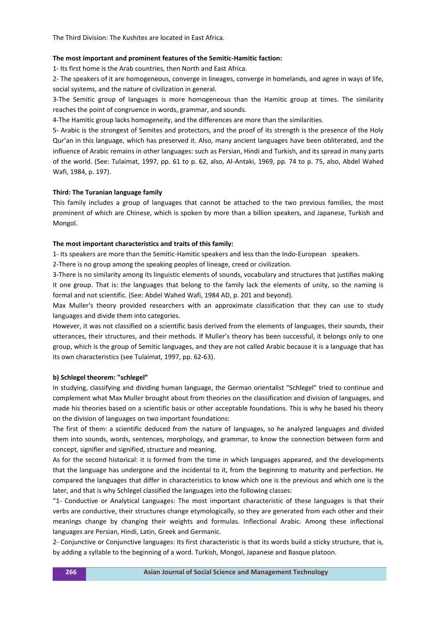The Third Division: The Kushites are located in East Africa.

#### **The most important and prominent features of the Semitic-Hamitic faction:**

1- Its first home is the Arab countries, then North and East Africa.

2- The speakers of it are homogeneous, converge in lineages, converge in homelands, and agree in ways of life, social systems, and the nature of civilization in general.

3-The Semitic group of languages is more homogeneous than the Hamitic group at times. The similarity reaches the point of congruence in words, grammar, and sounds.

4-The Hamitic group lacks homogeneity, and the differences are more than the similarities.

5- Arabic is the strongest of Semites and protectors, and the proof of its strength is the presence of the Holy Qur'an in this language, which has preserved it. Also, many ancient languages have been obliterated, and the influence of Arabic remains in other languages: such as Persian, Hindi and Turkish, and its spread in many parts of the world. (See: Tulaimat, 1997, pp. 61 to p. 62, also, Al-Antaki, 1969, pp. 74 to p. 75, also, Abdel Wahed Wafi, 1984, p. 197).

#### **Third: The Turanian language family**

This family includes a group of languages that cannot be attached to the two previous families, the most prominent of which are Chinese, which is spoken by more than a billion speakers, and Japanese, Turkish and Mongol.

#### **The most important characteristics and traits of this family:**

1- Its speakers are more than the Semitic-Hamitic speakers and less than the Indo-European speakers.

2-There is no group among the speaking peoples of lineage, creed or civilization.

3-There is no similarity among its linguistic elements of sounds, vocabulary and structures that justifies making it one group. That is: the languages that belong to the family lack the elements of unity, so the naming is formal and not scientific. (See: Abdel Wahed Wafi, 1984 AD, p. 201 and beyond).

Max Muller's theory provided researchers with an approximate classification that they can use to study languages and divide them into categories.

However, it was not classified on a scientific basis derived from the elements of languages, their sounds, their utterances, their structures, and their methods. If Muller's theory has been successful, it belongs only to one group, which is the group of Semitic languages, and they are not called Arabic because it is a language that has its own characteristics (see Tulaimat, 1997, pp. 62-63).

#### **b) Schlegel theorem: "schlegel"**

In studying, classifying and dividing human language, the German orientalist "Schlegel" tried to continue and complement what Max Muller brought about from theories on the classification and division of languages, and made his theories based on a scientific basis or other acceptable foundations. This is why he based his theory on the division of languages on two important foundations:

The first of them: a scientific deduced from the nature of languages, so he analyzed languages and divided them into sounds, words, sentences, morphology, and grammar, to know the connection between form and concept, signifier and signified, structure and meaning.

As for the second historical: it is formed from the time in which languages appeared, and the developments that the language has undergone and the incidental to it, from the beginning to maturity and perfection. He compared the languages that differ in characteristics to know which one is the previous and which one is the later, and that is why Schlegel classified the languages into the following classes:

"1- Conductive or Analytical Languages: The most important characteristic of these languages is that their verbs are conductive, their structures change etymologically, so they are generated from each other and their meanings change by changing their weights and formulas. Inflectional Arabic. Among these inflectional languages are Persian, Hindi, Latin, Greek and Germanic.

2- Conjunctive or Conjunctive languages: Its first characteristic is that its words build a sticky structure, that is, by adding a syllable to the beginning of a word. Turkish, Mongol, Japanese and Basque platoon.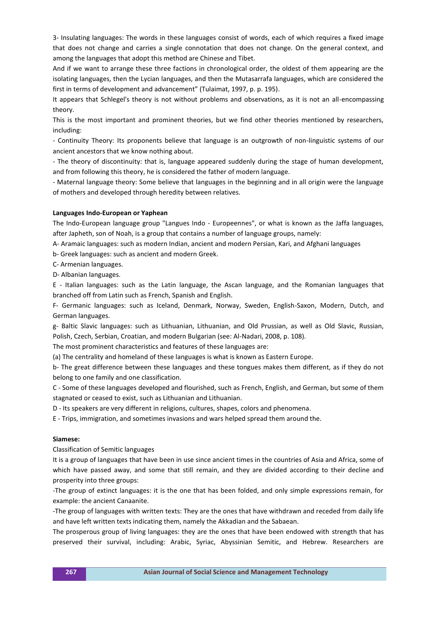3- Insulating languages: The words in these languages consist of words, each of which requires a fixed image that does not change and carries a single connotation that does not change. On the general context, and among the languages that adopt this method are Chinese and Tibet.

And if we want to arrange these three factions in chronological order, the oldest of them appearing are the isolating languages, then the Lycian languages, and then the Mutasarrafa languages, which are considered the first in terms of development and advancement" (Tulaimat, 1997, p. p. 195).

It appears that Schlegel's theory is not without problems and observations, as it is not an all-encompassing theory.

This is the most important and prominent theories, but we find other theories mentioned by researchers, including:

- Continuity Theory: Its proponents believe that language is an outgrowth of non-linguistic systems of our ancient ancestors that we know nothing about.

- The theory of discontinuity: that is, language appeared suddenly during the stage of human development, and from following this theory, he is considered the father of modern language.

- Maternal language theory: Some believe that languages in the beginning and in all origin were the language of mothers and developed through heredity between relatives.

#### **Languages Indo-European or Yaphean**

The Indo-European language group "Langues Indo - Europeennes", or what is known as the Jaffa languages, after Japheth, son of Noah, is a group that contains a number of language groups, namely:

A- Aramaic languages: such as modern Indian, ancient and modern Persian, Kari, and Afghani languages

b- Greek languages: such as ancient and modern Greek.

C- Armenian languages.

D- Albanian languages.

E - Italian languages: such as the Latin language, the Ascan language, and the Romanian languages that branched off from Latin such as French, Spanish and English.

F- Germanic languages: such as Iceland, Denmark, Norway, Sweden, English-Saxon, Modern, Dutch, and German languages.

g- Baltic Slavic languages: such as Lithuanian, Lithuanian, and Old Prussian, as well as Old Slavic, Russian, Polish, Czech, Serbian, Croatian, and modern Bulgarian (see: Al-Nadari, 2008, p. 108).

The most prominent characteristics and features of these languages are:

(a) The centrality and homeland of these languages is what is known as Eastern Europe.

b- The great difference between these languages and these tongues makes them different, as if they do not belong to one family and one classification.

C - Some of these languages developed and flourished, such as French, English, and German, but some of them stagnated or ceased to exist, such as Lithuanian and Lithuanian.

D - Its speakers are very different in religions, cultures, shapes, colors and phenomena.

E - Trips, immigration, and sometimes invasions and wars helped spread them around the.

#### **Siamese:**

Classification of Semitic languages

It is a group of languages that have been in use since ancient times in the countries of Asia and Africa, some of which have passed away, and some that still remain, and they are divided according to their decline and prosperity into three groups:

-The group of extinct languages: it is the one that has been folded, and only simple expressions remain, for example: the ancient Canaanite.

-The group of languages with written texts: They are the ones that have withdrawn and receded from daily life and have left written texts indicating them, namely the Akkadian and the Sabaean.

The prosperous group of living languages: they are the ones that have been endowed with strength that has preserved their survival, including: Arabic, Syriac, Abyssinian Semitic, and Hebrew. Researchers are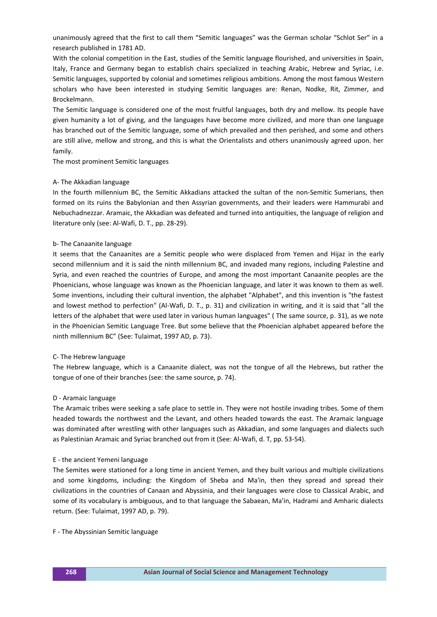unanimously agreed that the first to call them "Semitic languages" was the German scholar "Schlot Ser" in a research published in 1781 AD.

With the colonial competition in the East, studies of the Semitic language flourished, and universities in Spain, Italy, France and Germany began to establish chairs specialized in teaching Arabic, Hebrew and Syriac, i.e. Semitic languages, supported by colonial and sometimes religious ambitions. Among the most famous Western scholars who have been interested in studying Semitic languages are: Renan, Nodke, Rit, Zimmer, and Brockelmann.

The Semitic language is considered one of the most fruitful languages, both dry and mellow. Its people have given humanity a lot of giving, and the languages have become more civilized, and more than one language has branched out of the Semitic language, some of which prevailed and then perished, and some and others are still alive, mellow and strong, and this is what the Orientalists and others unanimously agreed upon. her family.

The most prominent Semitic languages

## A- The Akkadian language

In the fourth millennium BC, the Semitic Akkadians attacked the sultan of the non-Semitic Sumerians, then formed on its ruins the Babylonian and then Assyrian governments, and their leaders were Hammurabi and Nebuchadnezzar. Aramaic, the Akkadian was defeated and turned into antiquities, the language of religion and literature only (see: Al-Wafi, D. T., pp. 28-29).

## b- The Canaanite language

It seems that the Canaanites are a Semitic people who were displaced from Yemen and Hijaz in the early second millennium and it is said the ninth millennium BC, and invaded many regions, including Palestine and Syria, and even reached the countries of Europe, and among the most important Canaanite peoples are the Phoenicians, whose language was known as the Phoenician language, and later it was known to them as well. Some inventions, including their cultural invention, the alphabet "Alphabet", and this invention is "the fastest and lowest method to perfection" (Al-Wafi, D. T., p. 31) and civilization in writing, and it is said that "all the letters of the alphabet that were used later in various human languages" ( The same source, p. 31), as we note in the Phoenician Semitic Language Tree. But some believe that the Phoenician alphabet appeared before the ninth millennium BC" (See: Tulaimat, 1997 AD, p. 73).

#### C- The Hebrew language

The Hebrew language, which is a Canaanite dialect, was not the tongue of all the Hebrews, but rather the tongue of one of their branches (see: the same source, p. 74).

#### D - Aramaic language

The Aramaic tribes were seeking a safe place to settle in. They were not hostile invading tribes. Some of them headed towards the northwest and the Levant, and others headed towards the east. The Aramaic language was dominated after wrestling with other languages such as Akkadian, and some languages and dialects such as Palestinian Aramaic and Syriac branched out from it (See: Al-Wafi, d. T, pp. 53-54).

#### E - the ancient Yemeni language

The Semites were stationed for a long time in ancient Yemen, and they built various and multiple civilizations and some kingdoms, including: the Kingdom of Sheba and Ma'in, then they spread and spread their civilizations in the countries of Canaan and Abyssinia, and their languages were close to Classical Arabic, and some of its vocabulary is ambiguous, and to that language the Sabaean, Ma'in, Hadrami and Amharic dialects return. (See: Tulaimat, 1997 AD, p. 79).

#### F - The Abyssinian Semitic language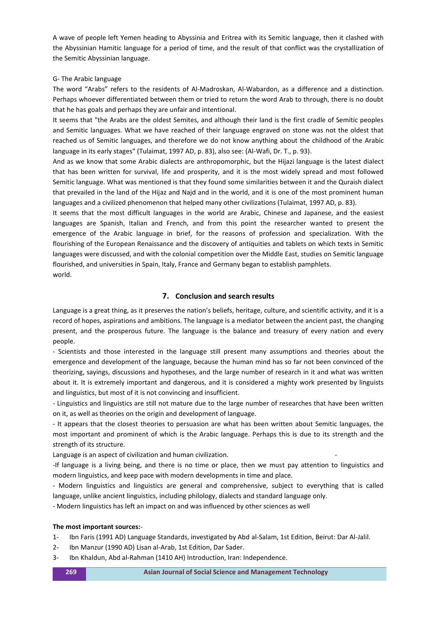A wave of people left Yemen heading to Abyssinia and Eritrea with its Semitic language, then it clashed with the Abyssinian Hamitic language for a period of time, and the result of that conflict was the crystallization of the Semitic Abyssinian language.

## G- The Arabic language

The word "Arabs" refers to the residents of Al-Madroskan, Al-Wabardon, as a difference and a distinction. Perhaps whoever differentiated between them or tried to return the word Arab to through, there is no doubt that he has goals and perhaps they are unfair and intentional.

It seems that "the Arabs are the oldest Semites, and although their land is the first cradle of Semitic peoples and Semitic languages. What we have reached of their language engraved on stone was not the oldest that reached us of Semitic languages, and therefore we do not know anything about the childhood of the Arabic language in its early stages" (Tulaimat, 1997 AD, p. 83), also see: (Al-Wafi, Dr. T., p. 93).

And as we know that some Arabic dialects are anthropomorphic, but the Hijazi language is the latest dialect that has been written for survival, life and prosperity, and it is the most widely spread and most followed Semitic language. What was mentioned is that they found some similarities between it and the Quraish dialect that prevailed in the land of the Hijaz and Najd and in the world, and it is one of the most prominent human languages and a civilized phenomenon that helped many other civilizations (Tulaimat, 1997 AD, p. 83).

It seems that the most difficult languages in the world are Arabic, Chinese and Japanese, and the easiest languages are Spanish, Italian and French, and from this point the researcher wanted to present the emergence of the Arabic language in brief, for the reasons of profession and specialization. With the flourishing of the European Renaissance and the discovery of antiquities and tablets on which texts in Semitic languages were discussed, and with the colonial competition over the Middle East, studies on Semitic language flourished, and universities in Spain, Italy, France and Germany began to establish pamphlets. world.

## **7. Conclusion and search results**

Language is a great thing, as it preserves the nation's beliefs, heritage, culture, and scientific activity, and it is a record of hopes, aspirations and ambitions. The language is a mediator between the ancient past, the changing present, and the prosperous future. The language is the balance and treasury of every nation and every people.

- Scientists and those interested in the language still present many assumptions and theories about the emergence and development of the language, because the human mind has so far not been convinced of the theorizing, sayings, discussions and hypotheses, and the large number of research in it and what was written about it. It is extremely important and dangerous, and it is considered a mighty work presented by linguists and linguistics, but most of it is not convincing and insufficient.

- Linguistics and linguistics are still not mature due to the large number of researches that have been written on it, as well as theories on the origin and development of language.

- It appears that the closest theories to persuasion are what has been written about Semitic languages, the most important and prominent of which is the Arabic language. Perhaps this is due to its strength and the strength of its structure.

Language is an aspect of civilization and human civilization.

-If language is a living being, and there is no time or place, then we must pay attention to linguistics and modern linguistics, and keep pace with modern developments in time and place.

- Modern linguistics and linguistics are general and comprehensive, subject to everything that is called language, unlike ancient linguistics, including philology, dialects and standard language only.

- Modern linguistics has left an impact on and was influenced by other sciences as well

## **The most important sources:**-

- 1- Ibn Faris (1991 AD) Language Standards, investigated by Abd al-Salam, 1st Edition, Beirut: Dar Al-Jalil.
- 2- Ibn Manzur (1990 AD) Lisan al-Arab, 1st Edition, Dar Sader.
- 3- Ibn Khaldun, Abd al-Rahman (1410 AH) Introduction, Iran: Independence.